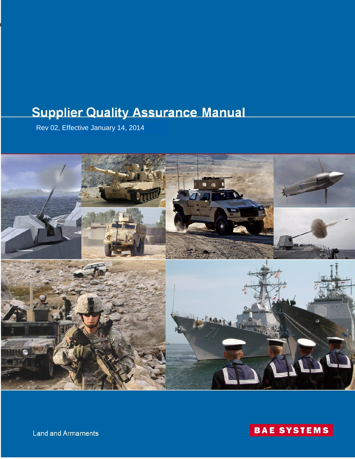# **Supplier Quality Assurance Manual**

Rev 02, Effective January 14, 2014

095870, Rev. 02, 14 January 2014





Land and Armaments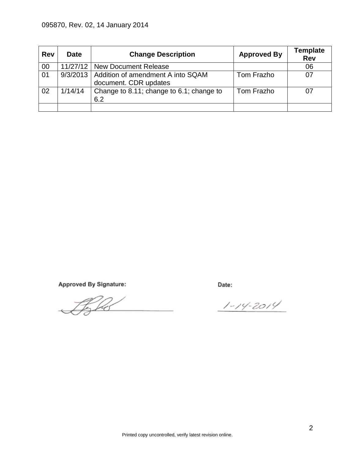| <b>Rev</b> | <b>Date</b> | <b>Change Description</b>                                             | <b>Approved By</b> | <b>Template</b><br><b>Rev</b> |
|------------|-------------|-----------------------------------------------------------------------|--------------------|-------------------------------|
| 00         |             | 11/27/12   New Document Release                                       |                    | 06                            |
| 01         |             | 9/3/2013   Addition of amendment A into SQAM<br>document. CDR updates | Tom Frazho         |                               |
| 02         | 1/14/14     | Change to 8.11; change to 6.1; change to<br>6.2                       | Tom Frazho         |                               |
|            |             |                                                                       |                    |                               |

Approved By Signature:

Fr A

Date:

 $1 - 14 - 2014$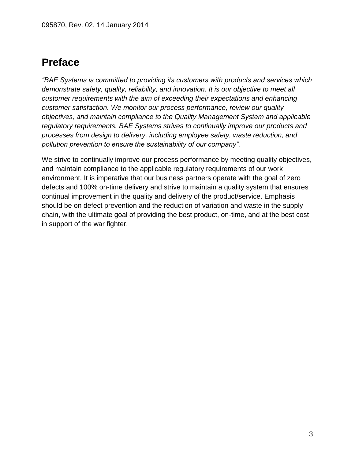## **Preface**

*"BAE Systems is committed to providing its customers with products and services which demonstrate safety, quality, reliability, and innovation. It is our objective to meet all customer requirements with the aim of exceeding their expectations and enhancing customer satisfaction. We monitor our process performance, review our quality objectives, and maintain compliance to the Quality Management System and applicable regulatory requirements. BAE Systems strives to continually improve our products and processes from design to delivery, including employee safety, waste reduction, and pollution prevention to ensure the sustainability of our company".* 

We strive to continually improve our process performance by meeting quality objectives, and maintain compliance to the applicable regulatory requirements of our work environment. It is imperative that our business partners operate with the goal of zero defects and 100% on-time delivery and strive to maintain a quality system that ensures continual improvement in the quality and delivery of the product/service. Emphasis should be on defect prevention and the reduction of variation and waste in the supply chain, with the ultimate goal of providing the best product, on-time, and at the best cost in support of the war fighter.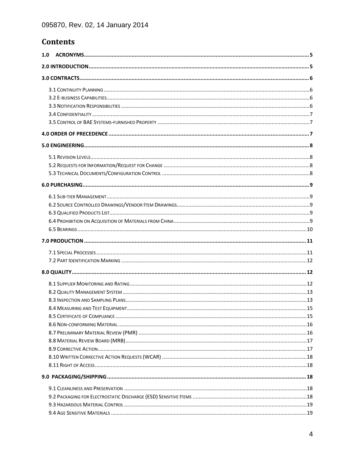## **Contents**

| 1.0 |  |  |  |  |  |  |  |
|-----|--|--|--|--|--|--|--|
|     |  |  |  |  |  |  |  |
|     |  |  |  |  |  |  |  |
|     |  |  |  |  |  |  |  |
|     |  |  |  |  |  |  |  |
|     |  |  |  |  |  |  |  |
|     |  |  |  |  |  |  |  |
|     |  |  |  |  |  |  |  |
|     |  |  |  |  |  |  |  |
|     |  |  |  |  |  |  |  |
|     |  |  |  |  |  |  |  |
|     |  |  |  |  |  |  |  |
|     |  |  |  |  |  |  |  |
|     |  |  |  |  |  |  |  |
|     |  |  |  |  |  |  |  |
|     |  |  |  |  |  |  |  |
|     |  |  |  |  |  |  |  |
|     |  |  |  |  |  |  |  |
|     |  |  |  |  |  |  |  |
|     |  |  |  |  |  |  |  |
|     |  |  |  |  |  |  |  |
|     |  |  |  |  |  |  |  |
|     |  |  |  |  |  |  |  |
|     |  |  |  |  |  |  |  |
|     |  |  |  |  |  |  |  |
|     |  |  |  |  |  |  |  |
|     |  |  |  |  |  |  |  |
|     |  |  |  |  |  |  |  |
|     |  |  |  |  |  |  |  |
|     |  |  |  |  |  |  |  |
|     |  |  |  |  |  |  |  |
|     |  |  |  |  |  |  |  |
|     |  |  |  |  |  |  |  |
|     |  |  |  |  |  |  |  |
|     |  |  |  |  |  |  |  |
|     |  |  |  |  |  |  |  |
|     |  |  |  |  |  |  |  |
|     |  |  |  |  |  |  |  |
|     |  |  |  |  |  |  |  |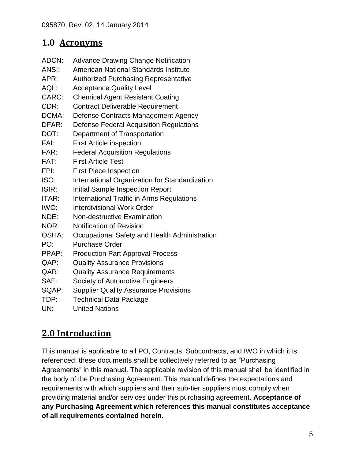## <span id="page-4-0"></span>**1.0 Acronyms**

- ADCN: Advance Drawing Change Notification
- ANSI: American National Standards Institute
- APR: Authorized Purchasing Representative
- AQL: Acceptance Quality Level
- CARC: Chemical Agent Resistant Coating
- CDR: Contract Deliverable Requirement
- DCMA: Defense Contracts Management Agency
- DFAR: Defense Federal Acquisition Regulations
- DOT: Department of Transportation
- FAI: First Article inspection
- FAR: Federal Acquisition Regulations
- FAT: First Article Test
- FPI: First Piece Inspection
- ISO: International Organization for Standardization
- ISIR: Initial Sample Inspection Report
- ITAR: International Traffic in Arms Regulations
- IWO: Interdivisional Work Order
- NDE: Non-destructive Examination
- NOR: Notification of Revision
- OSHA: Occupational Safety and Health Administration
- PO: Purchase Order
- PPAP: Production Part Approval Process
- QAP: Quality Assurance Provisions
- QAR: Quality Assurance Requirements
- SAE: Society of Automotive Engineers
- SQAP: Supplier Quality Assurance Provisions
- TDP: Technical Data Package
- UN: United Nations

## <span id="page-4-1"></span>**2.0 Introduction**

This manual is applicable to all PO, Contracts, Subcontracts, and IWO in which it is referenced; these documents shall be collectively referred to as "Purchasing Agreements" in this manual. The applicable revision of this manual shall be identified in the body of the Purchasing Agreement. This manual defines the expectations and requirements with which suppliers and their sub-tier suppliers must comply when providing material and/or services under this purchasing agreement. **Acceptance of any Purchasing Agreement which references this manual constitutes acceptance of all requirements contained herein.**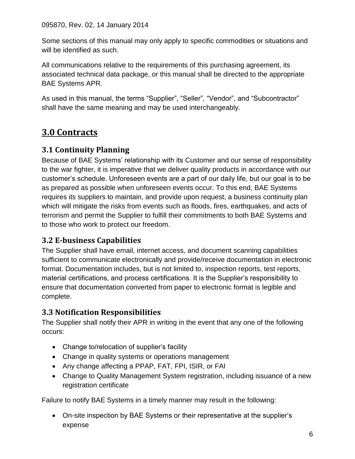Some sections of this manual may only apply to specific commodities or situations and will be identified as such.

All communications relative to the requirements of this purchasing agreement, its associated technical data package, or this manual shall be directed to the appropriate BAE Systems APR.

As used in this manual, the terms "Supplier", "Seller", "Vendor", and "Subcontractor" shall have the same meaning and may be used interchangeably.

## <span id="page-5-0"></span>**3.0 Contracts**

## <span id="page-5-1"></span>**3.1 Continuity Planning**

Because of BAE Systems' relationship with its Customer and our sense of responsibility to the war fighter, it is imperative that we deliver quality products in accordance with our customer's schedule. Unforeseen events are a part of our daily life, but our goal is to be as prepared as possible when unforeseen events occur. To this end, BAE Systems requires its suppliers to maintain, and provide upon request, a business continuity plan which will mitigate the risks from events such as floods, fires, earthquakes, and acts of terrorism and permit the Supplier to fulfill their commitments to both BAE Systems and to those who work to protect our freedom.

## <span id="page-5-2"></span>**3.2 E-business Capabilities**

The Supplier shall have email, internet access, and document scanning capabilities sufficient to communicate electronically and provide/receive documentation in electronic format. Documentation includes, but is not limited to, inspection reports, test reports, material certifications, and process certifications. It is the Supplier's responsibility to ensure that documentation converted from paper to electronic format is legible and complete.

### <span id="page-5-3"></span>**3.3 Notification Responsibilities**

The Supplier shall notify their APR in writing in the event that any one of the following occurs:

- Change to/relocation of supplier's facility
- Change in quality systems or operations management
- Any change affecting a PPAP, FAT, FPI, ISIR, or FAI
- Change to Quality Management System registration, including issuance of a new registration certificate

Failure to notify BAE Systems in a timely manner may result in the following:

 On-site inspection by BAE Systems or their representative at the supplier's expense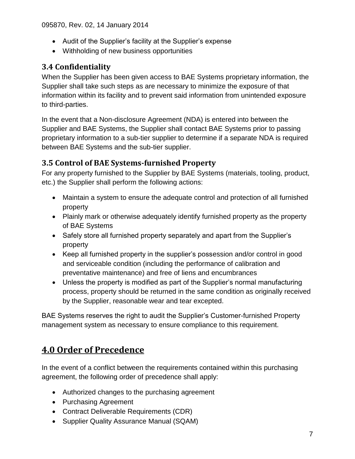- Audit of the Supplier's facility at the Supplier's expense
- Withholding of new business opportunities

### <span id="page-6-0"></span>**3.4 Confidentiality**

When the Supplier has been given access to BAE Systems proprietary information, the Supplier shall take such steps as are necessary to minimize the exposure of that information within its facility and to prevent said information from unintended exposure to third-parties.

In the event that a Non-disclosure Agreement (NDA) is entered into between the Supplier and BAE Systems, the Supplier shall contact BAE Systems prior to passing proprietary information to a sub-tier supplier to determine if a separate NDA is required between BAE Systems and the sub-tier supplier.

## <span id="page-6-1"></span>**3.5 Control of BAE Systems-furnished Property**

For any property furnished to the Supplier by BAE Systems (materials, tooling, product, etc.) the Supplier shall perform the following actions:

- Maintain a system to ensure the adequate control and protection of all furnished property
- Plainly mark or otherwise adequately identify furnished property as the property of BAE Systems
- Safely store all furnished property separately and apart from the Supplier's property
- Keep all furnished property in the supplier's possession and/or control in good and serviceable condition (including the performance of calibration and preventative maintenance) and free of liens and encumbrances
- Unless the property is modified as part of the Supplier's normal manufacturing process, property should be returned in the same condition as originally received by the Supplier, reasonable wear and tear excepted.

BAE Systems reserves the right to audit the Supplier's Customer-furnished Property management system as necessary to ensure compliance to this requirement.

## <span id="page-6-2"></span>**4.0 Order of Precedence**

In the event of a conflict between the requirements contained within this purchasing agreement, the following order of precedence shall apply:

- Authorized changes to the purchasing agreement
- Purchasing Agreement
- Contract Deliverable Requirements (CDR)
- Supplier Quality Assurance Manual (SQAM)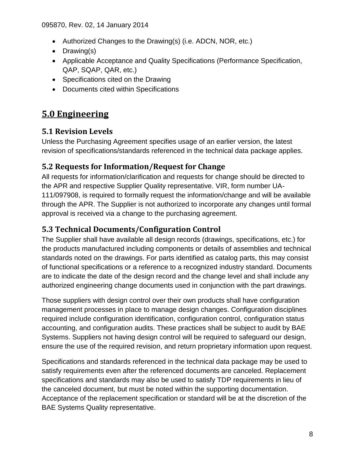- Authorized Changes to the Drawing(s) (i.e. ADCN, NOR, etc.)
- Drawing(s)
- Applicable Acceptance and Quality Specifications (Performance Specification, QAP, SQAP, QAR, etc.)
- Specifications cited on the Drawing
- Documents cited within Specifications

## <span id="page-7-0"></span>**5.0 Engineering**

## <span id="page-7-1"></span>**5.1 Revision Levels**

Unless the Purchasing Agreement specifies usage of an earlier version, the latest revision of specifications/standards referenced in the technical data package applies.

### <span id="page-7-2"></span>**5.2 Requests for Information/Request for Change**

All requests for information/clarification and requests for change should be directed to the APR and respective Supplier Quality representative. VIR, form number UA-111/097908, is required to formally request the information/change and will be available through the APR. The Supplier is not authorized to incorporate any changes until formal approval is received via a change to the purchasing agreement.

### <span id="page-7-3"></span>**5.3 Technical Documents/Configuration Control**

The Supplier shall have available all design records (drawings, specifications, etc.) for the products manufactured including components or details of assemblies and technical standards noted on the drawings. For parts identified as catalog parts, this may consist of functional specifications or a reference to a recognized industry standard. Documents are to indicate the date of the design record and the change level and shall include any authorized engineering change documents used in conjunction with the part drawings.

Those suppliers with design control over their own products shall have configuration management processes in place to manage design changes. Configuration disciplines required include configuration identification, configuration control, configuration status accounting, and configuration audits. These practices shall be subject to audit by BAE Systems. Suppliers not having design control will be required to safeguard our design, ensure the use of the required revision, and return proprietary information upon request.

Specifications and standards referenced in the technical data package may be used to satisfy requirements even after the referenced documents are canceled. Replacement specifications and standards may also be used to satisfy TDP requirements in lieu of the canceled document, but must be noted within the supporting documentation. Acceptance of the replacement specification or standard will be at the discretion of the BAE Systems Quality representative.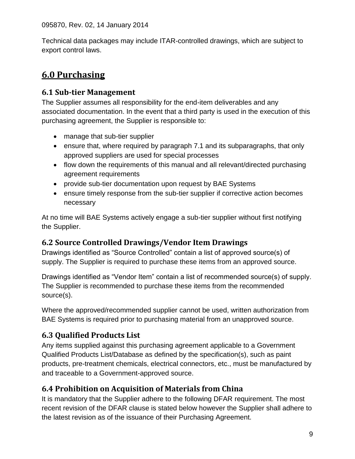Technical data packages may include ITAR-controlled drawings, which are subject to export control laws.

## <span id="page-8-0"></span>**6.0 Purchasing**

## <span id="page-8-1"></span>**6.1 Sub-tier Management**

The Supplier assumes all responsibility for the end-item deliverables and any associated documentation. In the event that a third party is used in the execution of this purchasing agreement, the Supplier is responsible to:

- manage that sub-tier supplier
- ensure that, where required by paragraph 7.1 and its subparagraphs, that only approved suppliers are used for special processes
- flow down the requirements of this manual and all relevant/directed purchasing agreement requirements
- provide sub-tier documentation upon request by BAE Systems
- ensure timely response from the sub-tier supplier if corrective action becomes necessary

At no time will BAE Systems actively engage a sub-tier supplier without first notifying the Supplier.

## <span id="page-8-2"></span>**6.2 Source Controlled Drawings/Vendor Item Drawings**

Drawings identified as "Source Controlled" contain a list of approved source(s) of supply. The Supplier is required to purchase these items from an approved source.

Drawings identified as "Vendor Item" contain a list of recommended source(s) of supply. The Supplier is recommended to purchase these items from the recommended source(s).

Where the approved/recommended supplier cannot be used, written authorization from BAE Systems is required prior to purchasing material from an unapproved source.

## <span id="page-8-3"></span>**6.3 Qualified Products List**

Any items supplied against this purchasing agreement applicable to a Government Qualified Products List/Database as defined by the specification(s), such as paint products, pre-treatment chemicals, electrical connectors, etc., must be manufactured by and traceable to a Government-approved source.

## <span id="page-8-4"></span>**6.4 Prohibition on Acquisition of Materials from China**

It is mandatory that the Supplier adhere to the following DFAR requirement. The most recent revision of the DFAR clause is stated below however the Supplier shall adhere to the latest revision as of the issuance of their Purchasing Agreement.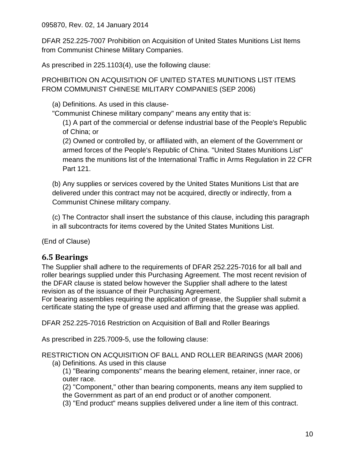DFAR 252.225-7007 Prohibition on Acquisition of United States Munitions List Items from Communist Chinese Military Companies.

As prescribed in 225.1103(4), use the following clause:

PROHIBITION ON ACQUISITION OF UNITED STATES MUNITIONS LIST ITEMS FROM COMMUNIST CHINESE MILITARY COMPANIES (SEP 2006)

(a) Definitions. As used in this clause-

"Communist Chinese military company" means any entity that is:

(1) A part of the commercial or defense industrial base of the People's Republic of China; or

(2) Owned or controlled by, or affiliated with, an element of the Government or armed forces of the People's Republic of China. "United States Munitions List" means the munitions list of the International Traffic in Arms Regulation in 22 CFR Part 121.

(b) Any supplies or services covered by the United States Munitions List that are delivered under this contract may not be acquired, directly or indirectly, from a Communist Chinese military company.

(c) The Contractor shall insert the substance of this clause, including this paragraph in all subcontracts for items covered by the United States Munitions List.

(End of Clause)

### <span id="page-9-0"></span>**6.5 Bearings**

The Supplier shall adhere to the requirements of DFAR 252.225-7016 for all ball and roller bearings supplied under this Purchasing Agreement. The most recent revision of the DFAR clause is stated below however the Supplier shall adhere to the latest revision as of the issuance of their Purchasing Agreement.

For bearing assemblies requiring the application of grease, the Supplier shall submit a certificate stating the type of grease used and affirming that the grease was applied.

DFAR 252.225-7016 Restriction on Acquisition of Ball and Roller Bearings

As prescribed in 225.7009-5, use the following clause:

RESTRICTION ON ACQUISITION OF BALL AND ROLLER BEARINGS (MAR 2006) (a) Definitions. As used in this clause

- (1) "Bearing components" means the bearing element, retainer, inner race, or outer race.
- (2) "Component," other than bearing components, means any item supplied to the Government as part of an end product or of another component.
- (3) "End product" means supplies delivered under a line item of this contract.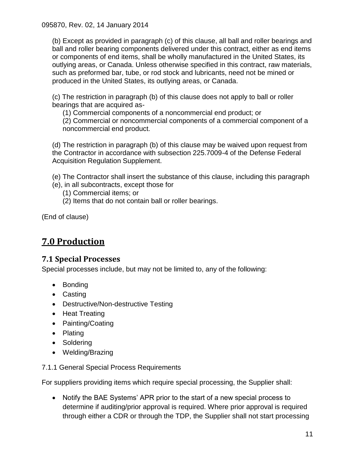(b) Except as provided in paragraph (c) of this clause, all ball and roller bearings and ball and roller bearing components delivered under this contract, either as end items or components of end items, shall be wholly manufactured in the United States, its outlying areas, or Canada. Unless otherwise specified in this contract, raw materials, such as preformed bar, tube, or rod stock and lubricants, need not be mined or produced in the United States, its outlying areas, or Canada.

(c) The restriction in paragraph (b) of this clause does not apply to ball or roller bearings that are acquired as-

(1) Commercial components of a noncommercial end product; or

(2) Commercial or noncommercial components of a commercial component of a noncommercial end product.

(d) The restriction in paragraph (b) of this clause may be waived upon request from the Contractor in accordance with subsection 225.7009-4 of the Defense Federal Acquisition Regulation Supplement.

(e) The Contractor shall insert the substance of this clause, including this paragraph

- (e), in all subcontracts, except those for
	- (1) Commercial items; or
	- (2) Items that do not contain ball or roller bearings.

(End of clause)

## <span id="page-10-0"></span>**7.0 Production**

### <span id="page-10-1"></span>**7.1 Special Processes**

Special processes include, but may not be limited to, any of the following:

- Bonding
- Casting
- Destructive/Non-destructive Testing
- Heat Treating
- Painting/Coating
- Plating
- Soldering
- Welding/Brazing

#### 7.1.1 General Special Process Requirements

For suppliers providing items which require special processing, the Supplier shall:

 Notify the BAE Systems' APR prior to the start of a new special process to determine if auditing/prior approval is required. Where prior approval is required through either a CDR or through the TDP, the Supplier shall not start processing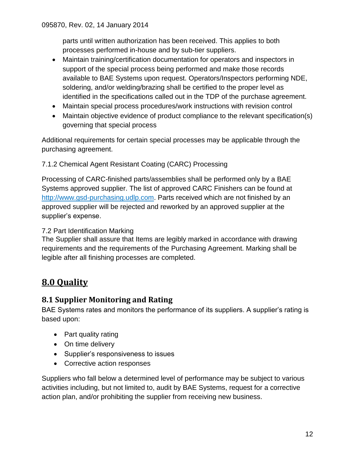parts until written authorization has been received. This applies to both processes performed in-house and by sub-tier suppliers.

- Maintain training/certification documentation for operators and inspectors in support of the special process being performed and make those records available to BAE Systems upon request. Operators/Inspectors performing NDE, soldering, and/or welding/brazing shall be certified to the proper level as identified in the specifications called out in the TDP of the purchase agreement.
- Maintain special process procedures/work instructions with revision control
- Maintain objective evidence of product compliance to the relevant specification(s) governing that special process

Additional requirements for certain special processes may be applicable through the purchasing agreement.

#### 7.1.2 Chemical Agent Resistant Coating (CARC) Processing

Processing of CARC-finished parts/assemblies shall be performed only by a BAE Systems approved supplier. The list of approved CARC Finishers can be found at [http://www.gsd-purchasing.udlp.com.](http://www.gsd-purchasing.udlp.com/) Parts received which are not finished by an approved supplier will be rejected and reworked by an approved supplier at the supplier's expense.

#### <span id="page-11-0"></span>7.2 Part Identification Marking

The Supplier shall assure that Items are legibly marked in accordance with drawing requirements and the requirements of the Purchasing Agreement. Marking shall be legible after all finishing processes are completed.

## <span id="page-11-1"></span>**8.0 Quality**

### <span id="page-11-2"></span>**8.1 Supplier Monitoring and Rating**

BAE Systems rates and monitors the performance of its suppliers. A supplier's rating is based upon:

- Part quality rating
- On time delivery
- Supplier's responsiveness to issues
- Corrective action responses

Suppliers who fall below a determined level of performance may be subject to various activities including, but not limited to, audit by BAE Systems, request for a corrective action plan, and/or prohibiting the supplier from receiving new business.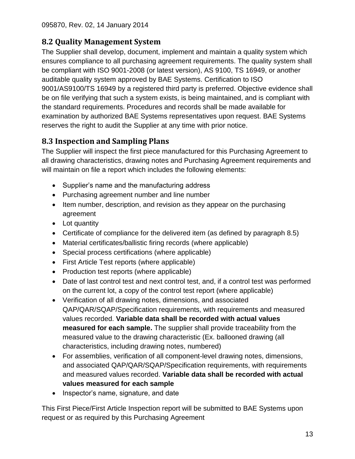## <span id="page-12-0"></span>**8.2 Quality Management System**

The Supplier shall develop, document, implement and maintain a quality system which ensures compliance to all purchasing agreement requirements. The quality system shall be compliant with ISO 9001-2008 (or latest version), AS 9100, TS 16949, or another auditable quality system approved by BAE Systems. Certification to ISO 9001/AS9100/TS 16949 by a registered third party is preferred. Objective evidence shall be on file verifying that such a system exists, is being maintained, and is compliant with the standard requirements. Procedures and records shall be made available for examination by authorized BAE Systems representatives upon request. BAE Systems reserves the right to audit the Supplier at any time with prior notice.

## <span id="page-12-1"></span>**8.3 Inspection and Sampling Plans**

The Supplier will inspect the first piece manufactured for this Purchasing Agreement to all drawing characteristics, drawing notes and Purchasing Agreement requirements and will maintain on file a report which includes the following elements:

- Supplier's name and the manufacturing address
- Purchasing agreement number and line number
- Item number, description, and revision as they appear on the purchasing agreement
- Lot quantity
- Certificate of compliance for the delivered item (as defined by paragraph 8.5)
- Material certificates/ballistic firing records (where applicable)
- Special process certifications (where applicable)
- First Article Test reports (where applicable)
- Production test reports (where applicable)
- Date of last control test and next control test, and, if a control test was performed on the current lot, a copy of the control test report (where applicable)
- Verification of all drawing notes, dimensions, and associated QAP/QAR/SQAP/Specification requirements, with requirements and measured values recorded. **Variable data shall be recorded with actual values measured for each sample.** The supplier shall provide traceability from the measured value to the drawing characteristic (Ex. ballooned drawing (all characteristics, including drawing notes, numbered)
- For assemblies, verification of all component-level drawing notes, dimensions, and associated QAP/QAR/SQAP/Specification requirements, with requirements and measured values recorded. **Variable data shall be recorded with actual values measured for each sample**
- Inspector's name, signature, and date

This First Piece/First Article Inspection report will be submitted to BAE Systems upon request or as required by this Purchasing Agreement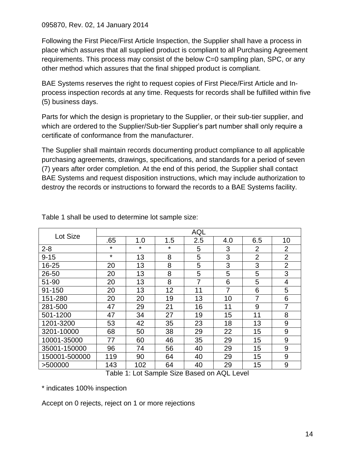Following the First Piece/First Article Inspection, the Supplier shall have a process in place which assures that all supplied product is compliant to all Purchasing Agreement requirements. This process may consist of the below C=0 sampling plan, SPC, or any other method which assures that the final shipped product is compliant.

BAE Systems reserves the right to request copies of First Piece/First Article and Inprocess inspection records at any time. Requests for records shall be fulfilled within five (5) business days.

Parts for which the design is proprietary to the Supplier, or their sub-tier supplier, and which are ordered to the Supplier/Sub-tier Supplier's part number shall only require a certificate of conformance from the manufacturer.

The Supplier shall maintain records documenting product compliance to all applicable purchasing agreements, drawings, specifications, and standards for a period of seven (7) years after order completion. At the end of this period, the Supplier shall contact BAE Systems and request disposition instructions, which may include authorization to destroy the records or instructions to forward the records to a BAE Systems facility.

| Lot Size      | <b>AQL</b> |         |         |     |     |                |                  |  |
|---------------|------------|---------|---------|-----|-----|----------------|------------------|--|
|               | .65        | 1.0     | 1.5     | 2.5 | 4.0 | 6.5            | 10               |  |
| $2 - 8$       | $\star$    | $\star$ | $\star$ | 5   | 3   | $\overline{2}$ | $\overline{2}$   |  |
| $9 - 15$      | $\star$    | 13      | 8       | 5   | 3   | $\overline{2}$ | $\overline{2}$   |  |
| 16-25         | 20         | 13      | 8       | 5   | 3   | 3              | $\overline{2}$   |  |
| 26-50         | 20         | 13      | 8       | 5   | 5   | 5              | 3                |  |
| 51-90         | 20         | 13      | 8       | 7   | 6   | 5              | 4                |  |
| 91-150        | 20         | 13      | 12      | 11  | 7   | 6              | 5                |  |
| 151-280       | 20         | 20      | 19      | 13  | 10  | 7              | 6                |  |
| 281-500       | 47         | 29      | 21      | 16  | 11  | 9              | $\overline{7}$   |  |
| 501-1200      | 47         | 34      | 27      | 19  | 15  | 11             | 8                |  |
| 1201-3200     | 53         | 42      | 35      | 23  | 18  | 13             | 9                |  |
| 3201-10000    | 68         | 50      | 38      | 29  | 22  | 15             | 9                |  |
| 10001-35000   | 77         | 60      | 46      | 35  | 29  | 15             | 9                |  |
| 35001-150000  | 96         | 74      | 56      | 40  | 29  | 15             | $\boldsymbol{9}$ |  |
| 150001-500000 | 119        | 90      | 64      | 40  | 29  | 15             | 9                |  |
| >500000       | 143        | 102     | 64      | 40  | 29  | 15             | 9                |  |

Table 1 shall be used to determine lot sample size:

Table 1: Lot Sample Size Based on AQL Level

\* indicates 100% inspection

Accept on 0 rejects, reject on 1 or more rejections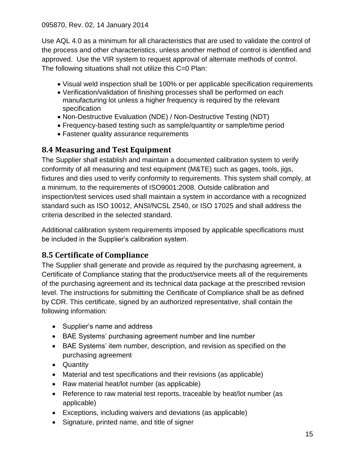Use AQL 4.0 as a minimum for all characteristics that are used to validate the control of the process and other characteristics, unless another method of control is identified and approved. Use the VIR system to request approval of alternate methods of control. The following situations shall not utilize this C=0 Plan:

- Visual weld inspection shall be 100% or per applicable specification requirements
- Verification/validation of finishing processes shall be performed on each manufacturing lot unless a higher frequency is required by the relevant specification
- Non-Destructive Evaluation (NDE) / Non-Destructive Testing (NDT)
- Frequency-based testing such as sample/quantity or sample/time period
- Fastener quality assurance requirements

### <span id="page-14-0"></span>**8.4 Measuring and Test Equipment**

The Supplier shall establish and maintain a documented calibration system to verify conformity of all measuring and test equipment (M&TE) such as gages, tools, jigs, fixtures and dies used to verify conformity to requirements. This system shall comply, at a minimum, to the requirements of ISO9001:2008. Outside calibration and inspection/test services used shall maintain a system in accordance with a recognized standard such as ISO 10012, ANSI/NCSL Z540, or ISO 17025 and shall address the criteria described in the selected standard.

Additional calibration system requirements imposed by applicable specifications must be included in the Supplier's calibration system.

## <span id="page-14-1"></span>**8.5 Certificate of Compliance**

The Supplier shall generate and provide as required by the purchasing agreement, a Certificate of Compliance stating that the product/service meets all of the requirements of the purchasing agreement and its technical data package at the prescribed revision level. The instructions for submitting the Certificate of Compliance shall be as defined by CDR. This certificate, signed by an authorized representative, shall contain the following information:

- Supplier's name and address
- BAE Systems' purchasing agreement number and line number
- BAE Systems' item number, description, and revision as specified on the purchasing agreement
- Quantity
- Material and test specifications and their revisions (as applicable)
- Raw material heat/lot number (as applicable)
- Reference to raw material test reports, traceable by heat/lot number (as applicable)
- Exceptions, including waivers and deviations (as applicable)
- Signature, printed name, and title of signer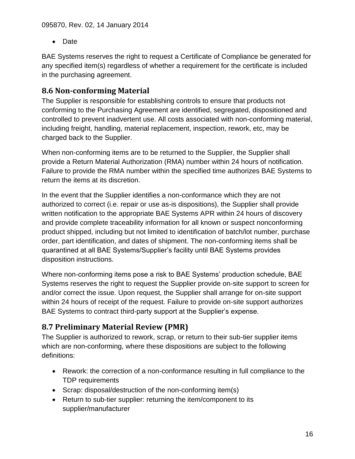• Date

BAE Systems reserves the right to request a Certificate of Compliance be generated for any specified item(s) regardless of whether a requirement for the certificate is included in the purchasing agreement.

## <span id="page-15-0"></span>**8.6 Non-conforming Material**

The Supplier is responsible for establishing controls to ensure that products not conforming to the Purchasing Agreement are identified, segregated, dispositioned and controlled to prevent inadvertent use. All costs associated with non-conforming material, including freight, handling, material replacement, inspection, rework, etc, may be charged back to the Supplier.

When non-conforming items are to be returned to the Supplier, the Supplier shall provide a Return Material Authorization (RMA) number within 24 hours of notification. Failure to provide the RMA number within the specified time authorizes BAE Systems to return the items at its discretion.

In the event that the Supplier identifies a non-conformance which they are not authorized to correct (i.e. repair or use as-is dispositions), the Supplier shall provide written notification to the appropriate BAE Systems APR within 24 hours of discovery and provide complete traceability information for all known or suspect nonconforming product shipped, including but not limited to identification of batch/lot number, purchase order, part identification, and dates of shipment. The non-conforming items shall be quarantined at all BAE Systems/Supplier's facility until BAE Systems provides disposition instructions.

Where non-conforming items pose a risk to BAE Systems' production schedule, BAE Systems reserves the right to request the Supplier provide on-site support to screen for and/or correct the issue. Upon request, the Supplier shall arrange for on-site support within 24 hours of receipt of the request. Failure to provide on-site support authorizes BAE Systems to contract third-party support at the Supplier's expense.

## <span id="page-15-1"></span>**8.7 Preliminary Material Review (PMR)**

The Supplier is authorized to rework, scrap, or return to their sub-tier supplier items which are non-conforming, where these dispositions are subject to the following definitions:

- Rework: the correction of a non-conformance resulting in full compliance to the TDP requirements
- Scrap: disposal/destruction of the non-conforming item(s)
- Return to sub-tier supplier: returning the item/component to its supplier/manufacturer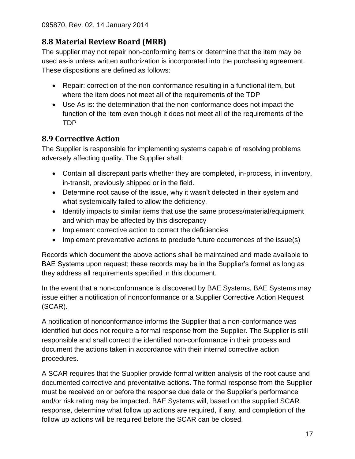## <span id="page-16-0"></span>**8.8 Material Review Board (MRB)**

The supplier may not repair non-conforming items or determine that the item may be used as-is unless written authorization is incorporated into the purchasing agreement. These dispositions are defined as follows:

- Repair: correction of the non-conformance resulting in a functional item, but where the item does not meet all of the requirements of the TDP
- Use As-is: the determination that the non-conformance does not impact the function of the item even though it does not meet all of the requirements of the TDP

### <span id="page-16-1"></span>**8.9 Corrective Action**

The Supplier is responsible for implementing systems capable of resolving problems adversely affecting quality. The Supplier shall:

- Contain all discrepant parts whether they are completed, in-process, in inventory, in-transit, previously shipped or in the field.
- Determine root cause of the issue, why it wasn't detected in their system and what systemically failed to allow the deficiency.
- Identify impacts to similar items that use the same process/material/equipment and which may be affected by this discrepancy
- Implement corrective action to correct the deficiencies
- Implement preventative actions to preclude future occurrences of the issue(s)

Records which document the above actions shall be maintained and made available to BAE Systems upon request; these records may be in the Supplier's format as long as they address all requirements specified in this document.

In the event that a non-conformance is discovered by BAE Systems, BAE Systems may issue either a notification of nonconformance or a Supplier Corrective Action Request (SCAR).

A notification of nonconformance informs the Supplier that a non-conformance was identified but does not require a formal response from the Supplier. The Supplier is still responsible and shall correct the identified non-conformance in their process and document the actions taken in accordance with their internal corrective action procedures.

A SCAR requires that the Supplier provide formal written analysis of the root cause and documented corrective and preventative actions. The formal response from the Supplier must be received on or before the response due date or the Supplier's performance and/or risk rating may be impacted. BAE Systems will, based on the supplied SCAR response, determine what follow up actions are required, if any, and completion of the follow up actions will be required before the SCAR can be closed.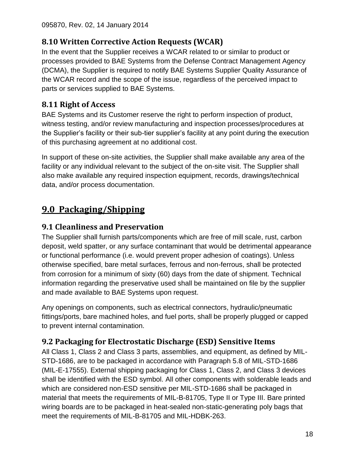## <span id="page-17-0"></span>**8.10 Written Corrective Action Requests (WCAR)**

In the event that the Supplier receives a WCAR related to or similar to product or processes provided to BAE Systems from the Defense Contract Management Agency (DCMA), the Supplier is required to notify BAE Systems Supplier Quality Assurance of the WCAR record and the scope of the issue, regardless of the perceived impact to parts or services supplied to BAE Systems.

## <span id="page-17-1"></span>**8.11 Right of Access**

BAE Systems and its Customer reserve the right to perform inspection of product, witness testing, and/or review manufacturing and inspection processes/procedures at the Supplier's facility or their sub-tier supplier's facility at any point during the execution of this purchasing agreement at no additional cost.

In support of these on-site activities, the Supplier shall make available any area of the facility or any individual relevant to the subject of the on-site visit. The Supplier shall also make available any required inspection equipment, records, drawings/technical data, and/or process documentation.

## <span id="page-17-2"></span>**9.0 Packaging/Shipping**

## <span id="page-17-3"></span>**9.1 Cleanliness and Preservation**

The Supplier shall furnish parts/components which are free of mill scale, rust, carbon deposit, weld spatter, or any surface contaminant that would be detrimental appearance or functional performance (i.e. would prevent proper adhesion of coatings). Unless otherwise specified, bare metal surfaces, ferrous and non-ferrous, shall be protected from corrosion for a minimum of sixty (60) days from the date of shipment. Technical information regarding the preservative used shall be maintained on file by the supplier and made available to BAE Systems upon request.

Any openings on components, such as electrical connectors, hydraulic/pneumatic fittings/ports, bare machined holes, and fuel ports, shall be properly plugged or capped to prevent internal contamination.

## <span id="page-17-4"></span>**9.2 Packaging for Electrostatic Discharge (ESD) Sensitive Items**

All Class 1, Class 2 and Class 3 parts, assemblies, and equipment, as defined by MIL-STD-1686, are to be packaged in accordance with Paragraph 5.8 of MIL-STD-1686 (MIL-E-17555). External shipping packaging for Class 1, Class 2, and Class 3 devices shall be identified with the ESD symbol. All other components with solderable leads and which are considered non-ESD sensitive per MIL-STD-1686 shall be packaged in material that meets the requirements of MIL-B-81705, Type II or Type III. Bare printed wiring boards are to be packaged in heat-sealed non-static-generating poly bags that meet the requirements of MIL-B-81705 and MIL-HDBK-263.